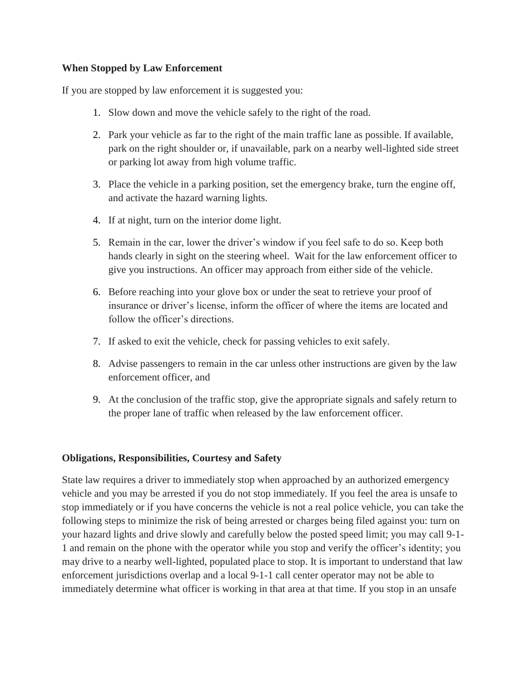### **When Stopped by Law Enforcement**

If you are stopped by law enforcement it is suggested you:

- 1. Slow down and move the vehicle safely to the right of the road.
- 2. Park your vehicle as far to the right of the main traffic lane as possible. If available, park on the right shoulder or, if unavailable, park on a nearby well-lighted side street or parking lot away from high volume traffic.
- 3. Place the vehicle in a parking position, set the emergency brake, turn the engine off, and activate the hazard warning lights.
- 4. If at night, turn on the interior dome light.
- 5. Remain in the car, lower the driver's window if you feel safe to do so. Keep both hands clearly in sight on the steering wheel. Wait for the law enforcement officer to give you instructions. An officer may approach from either side of the vehicle.
- 6. Before reaching into your glove box or under the seat to retrieve your proof of insurance or driver's license, inform the officer of where the items are located and follow the officer's directions.
- 7. If asked to exit the vehicle, check for passing vehicles to exit safely.
- 8. Advise passengers to remain in the car unless other instructions are given by the law enforcement officer, and
- 9. At the conclusion of the traffic stop, give the appropriate signals and safely return to the proper lane of traffic when released by the law enforcement officer.

# **Obligations, Responsibilities, Courtesy and Safety**

State law requires a driver to immediately stop when approached by an authorized emergency vehicle and you may be arrested if you do not stop immediately. If you feel the area is unsafe to stop immediately or if you have concerns the vehicle is not a real police vehicle, you can take the following steps to minimize the risk of being arrested or charges being filed against you: turn on your hazard lights and drive slowly and carefully below the posted speed limit; you may call 9-1- 1 and remain on the phone with the operator while you stop and verify the officer's identity; you may drive to a nearby well-lighted, populated place to stop. It is important to understand that law enforcement jurisdictions overlap and a local 9-1-1 call center operator may not be able to immediately determine what officer is working in that area at that time. If you stop in an unsafe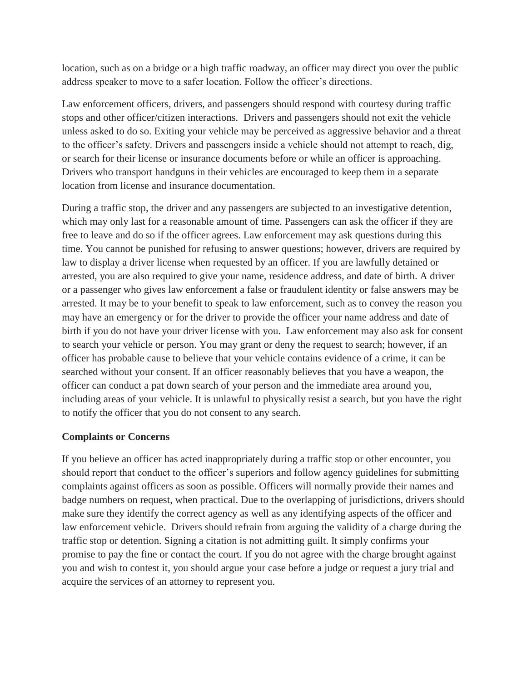location, such as on a bridge or a high traffic roadway, an officer may direct you over the public address speaker to move to a safer location. Follow the officer's directions.

Law enforcement officers, drivers, and passengers should respond with courtesy during traffic stops and other officer/citizen interactions. Drivers and passengers should not exit the vehicle unless asked to do so. Exiting your vehicle may be perceived as aggressive behavior and a threat to the officer's safety. Drivers and passengers inside a vehicle should not attempt to reach, dig, or search for their license or insurance documents before or while an officer is approaching. Drivers who transport handguns in their vehicles are encouraged to keep them in a separate location from license and insurance documentation.

During a traffic stop, the driver and any passengers are subjected to an investigative detention, which may only last for a reasonable amount of time. Passengers can ask the officer if they are free to leave and do so if the officer agrees. Law enforcement may ask questions during this time. You cannot be punished for refusing to answer questions; however, drivers are required by law to display a driver license when requested by an officer. If you are lawfully detained or arrested, you are also required to give your name, residence address, and date of birth. A driver or a passenger who gives law enforcement a false or fraudulent identity or false answers may be arrested. It may be to your benefit to speak to law enforcement, such as to convey the reason you may have an emergency or for the driver to provide the officer your name address and date of birth if you do not have your driver license with you. Law enforcement may also ask for consent to search your vehicle or person. You may grant or deny the request to search; however, if an officer has probable cause to believe that your vehicle contains evidence of a crime, it can be searched without your consent. If an officer reasonably believes that you have a weapon, the officer can conduct a pat down search of your person and the immediate area around you, including areas of your vehicle. It is unlawful to physically resist a search, but you have the right to notify the officer that you do not consent to any search.

### **Complaints or Concerns**

If you believe an officer has acted inappropriately during a traffic stop or other encounter, you should report that conduct to the officer's superiors and follow agency guidelines for submitting complaints against officers as soon as possible. Officers will normally provide their names and badge numbers on request, when practical. Due to the overlapping of jurisdictions, drivers should make sure they identify the correct agency as well as any identifying aspects of the officer and law enforcement vehicle. Drivers should refrain from arguing the validity of a charge during the traffic stop or detention. Signing a citation is not admitting guilt. It simply confirms your promise to pay the fine or contact the court. If you do not agree with the charge brought against you and wish to contest it, you should argue your case before a judge or request a jury trial and acquire the services of an attorney to represent you.